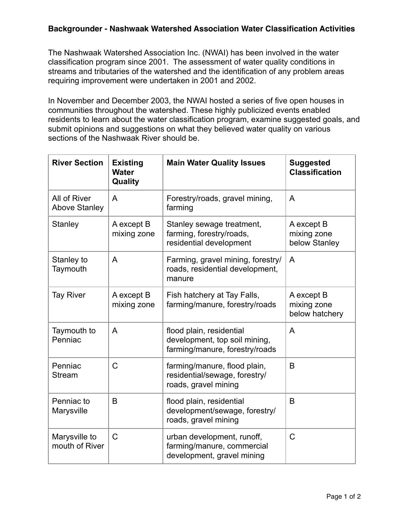## **Backgrounder - Nashwaak Watershed Association Water Classification Activities**

The Nashwaak Watershed Association Inc. (NWAI) has been involved in the water classification program since 2001. The assessment of water quality conditions in streams and tributaries of the watershed and the identification of any problem areas requiring improvement were undertaken in 2001 and 2002.

In November and December 2003, the NWAI hosted a series of five open houses in communities throughout the watershed. These highly publicized events enabled residents to learn about the water classification program, examine suggested goals, and submit opinions and suggestions on what they believed water quality on various sections of the Nashwaak River should be.

| <b>River Section</b>                 | <b>Existing</b><br><b>Water</b><br>Quality | <b>Main Water Quality Issues</b>                                                            | <b>Suggested</b><br><b>Classification</b>   |
|--------------------------------------|--------------------------------------------|---------------------------------------------------------------------------------------------|---------------------------------------------|
| All of River<br><b>Above Stanley</b> | A                                          | Forestry/roads, gravel mining,<br>farming                                                   | A                                           |
| <b>Stanley</b>                       | A except B<br>mixing zone                  | Stanley sewage treatment,<br>farming, forestry/roads,<br>residential development            | A except B<br>mixing zone<br>below Stanley  |
| Stanley to<br>Taymouth               | A                                          | Farming, gravel mining, forestry/<br>roads, residential development,<br>manure              | A                                           |
| <b>Tay River</b>                     | A except B<br>mixing zone                  | Fish hatchery at Tay Falls,<br>farming/manure, forestry/roads                               | A except B<br>mixing zone<br>below hatchery |
| Taymouth to<br>Penniac               | A                                          | flood plain, residential<br>development, top soil mining,<br>farming/manure, forestry/roads | A                                           |
| Penniac<br><b>Stream</b>             | C                                          | farming/manure, flood plain,<br>residential/sewage, forestry/<br>roads, gravel mining       | B                                           |
| Penniac to<br>Marysville             | B                                          | flood plain, residential<br>development/sewage, forestry/<br>roads, gravel mining           | B                                           |
| Marysville to<br>mouth of River      | C                                          | urban development, runoff,<br>farming/manure, commercial<br>development, gravel mining      | $\mathsf C$                                 |